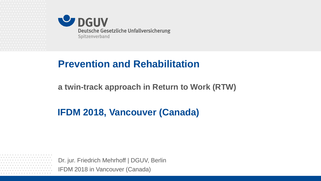

# **Prevention and Rehabilitation**

**a twin-track approach in Return to Work (RTW)**

#### **IFDM 2018, Vancouver (Canada)**

IFDM 2018 in Vancouver (Canada) Dr. jur. Friedrich Mehrhoff | DGUV, Berlin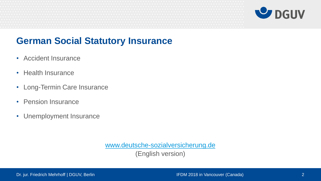

#### **German Social Statutory Insurance**

- Accident Insurance
- Health Insurance
- Long-Termin Care Insurance
- Pension Insurance
- Unemployment Insurance

[www.deutsche-sozialversicherung.de](http://www.deutsche-sozialversicherung.de/)

(English version)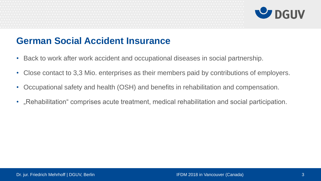

#### **German Social Accident Insurance**

- Back to work after work accident and occupational diseases in social partnership.
- Close contact to 3,3 Mio. enterprises as their members paid by contributions of employers.
- Occupational safety and health (OSH) and benefits in rehabilitation and compensation.
- "Rehabilitation" comprises acute treatment, medical rehabilitation and social participation.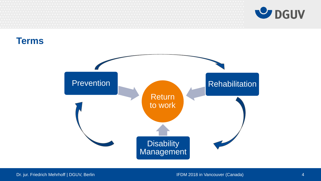

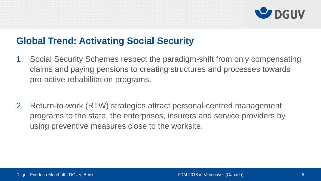

# **Global Trend: Activating Social Security**

- 1. Social Security Schemes respect the paradigm-shift from only compensating claims and paying pensions to creating structures and processes towards pro-active rehabilitation programs.
- 2. Return-to-work (RTW) strategies attract personal-centred management programs to the state, the enterprises, insurers and service providers by using preventive measures close to the worksite.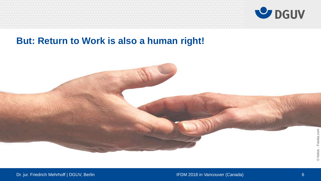

#### **But: Return to Work is also a human right!**

Dr. jur. Friedrich Mehrhoff | DGUV, Berlin **IFDM 2018** in Vancouver (Canada) 6 and 1FDM 2018 in Vancouver (Canada)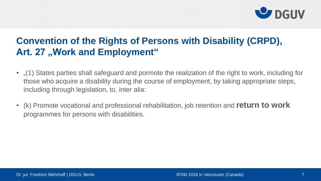

# **Convention of the Rights of Persons with Disability (CRPD),**  Art. 27 "Work and Employment"

- "(1) States parties shall safeguard and pormote the realization of the right to work, including for those who acquire a disability during the course of employment, by taking appropriate steps, including through legislation, to, inter alia:
- (k) Promote vocational and professional rehabilitation, job retention and **return to work** programmes for persons with disabilities.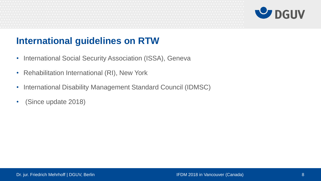

# **International guidelines on RTW**

- International Social Security Association (ISSA), Geneva
- Rehabilitation International (RI), New York
- International Disability Management Standard Council (IDMSC)
- (Since update 2018)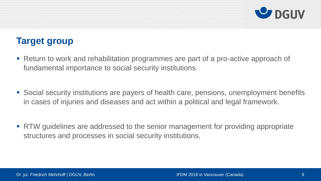

# **Target group**

- Return to work and rehabilitation programmes are part of a pro-active approach of fundamental importance to social security institutions.
- Social security institutions are payers of health care, pensions, unemployment benefits in cases of injuries and diseases and act within a political and legal framework.
- **RTW** guidelines are addressed to the senior management for providing appropriate structures and processes in social security institutions.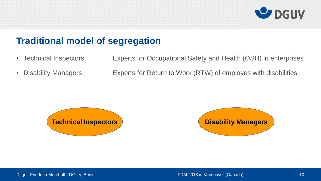

#### **Traditional model of segregation**

- Technical Inspectors Experts for Occupational Safety and Health (OSH) in enterprises
- 

• Disability Managers **Experts for Return to Work (RTW) of employes with disabilities** 



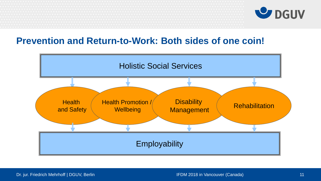

#### **Prevention and Return-to-Work: Both sides of one coin!**

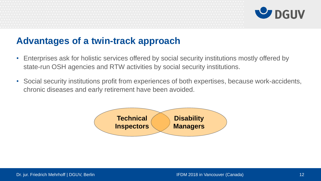

# **Advantages of a twin-track approach**

- Enterprises ask for holistic services offered by social security institutions mostly offered by state-run OSH agencies and RTW activities by social security institutions.
- Social security institutions profit from experiences of both expertises, because work-accidents, chronic diseases and early retirement have been avoided.

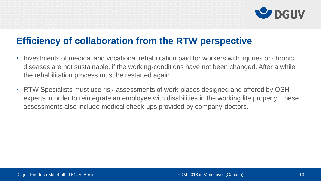

## **Efficiency of collaboration from the RTW perspective**

- Investments of medical and vocational rehabilitation paid for workers with injuries or chronic diseases are not sustainable, if the working-conditions have not been changed. After a while the rehabilitation process must be restarted again.
- RTW Specialists must use risk-assessments of work-places designed and offered by OSH experts in order to reintegrate an employee with disabilities in the working life properly. These assessments also include medical check-ups provided by company-doctors.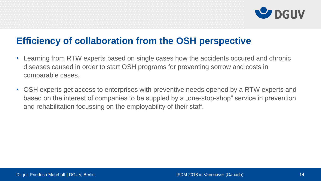

#### **Efficiency of collaboration from the OSH perspective**

- Learning from RTW experts based on single cases how the accidents occured and chronic diseases caused in order to start OSH programs for preventing sorrow and costs in comparable cases.
- OSH experts get access to enterprises with preventive needs opened by a RTW experts and based on the interest of companies to be suppled by a "one-stop-shop" service in prevention and rehabilitation focussing on the employability of their staff.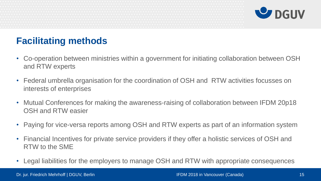

# **Facilitating methods**

- Co-operation between ministries within a government for initiating collaboration between OSH and RTW experts
- Federal umbrella organisation for the coordination of OSH and RTW activities focusses on interests of enterprises
- Mutual Conferences for making the awareness-raising of collaboration between IFDM 20p18 OSH and RTW easier
- Paying for vice-versa reports among OSH and RTW experts as part of an information system
- Financial Incentives for private service providers if they offer a holistic services of OSH and RTW to the SME
- Legal liabilities for the employers to manage OSH and RTW with appropriate consequences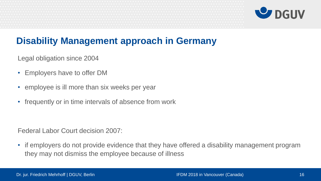

# **Disability Management approach in Germany**

Legal obligation since 2004

- Employers have to offer DM
- employee is ill more than six weeks per year
- frequently or in time intervals of absence from work

Federal Labor Court decision 2007:

• if employers do not provide evidence that they have offered a disability management program they may not dismiss the employee because of illness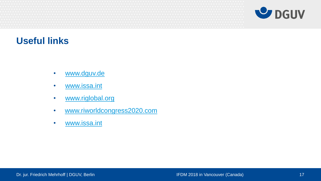



#### **Useful links**

- [www.dguv.de](http://www.dguv.de/)
- [www.issa.int](http://www.issa.int/)
- [www.riglobal.org](http://www.riglobal.org/)
- [www.riworldcongress2020.com](http://www.riworldcongress2020.com/)
- [www.issa.int](http://www.issa.int/)